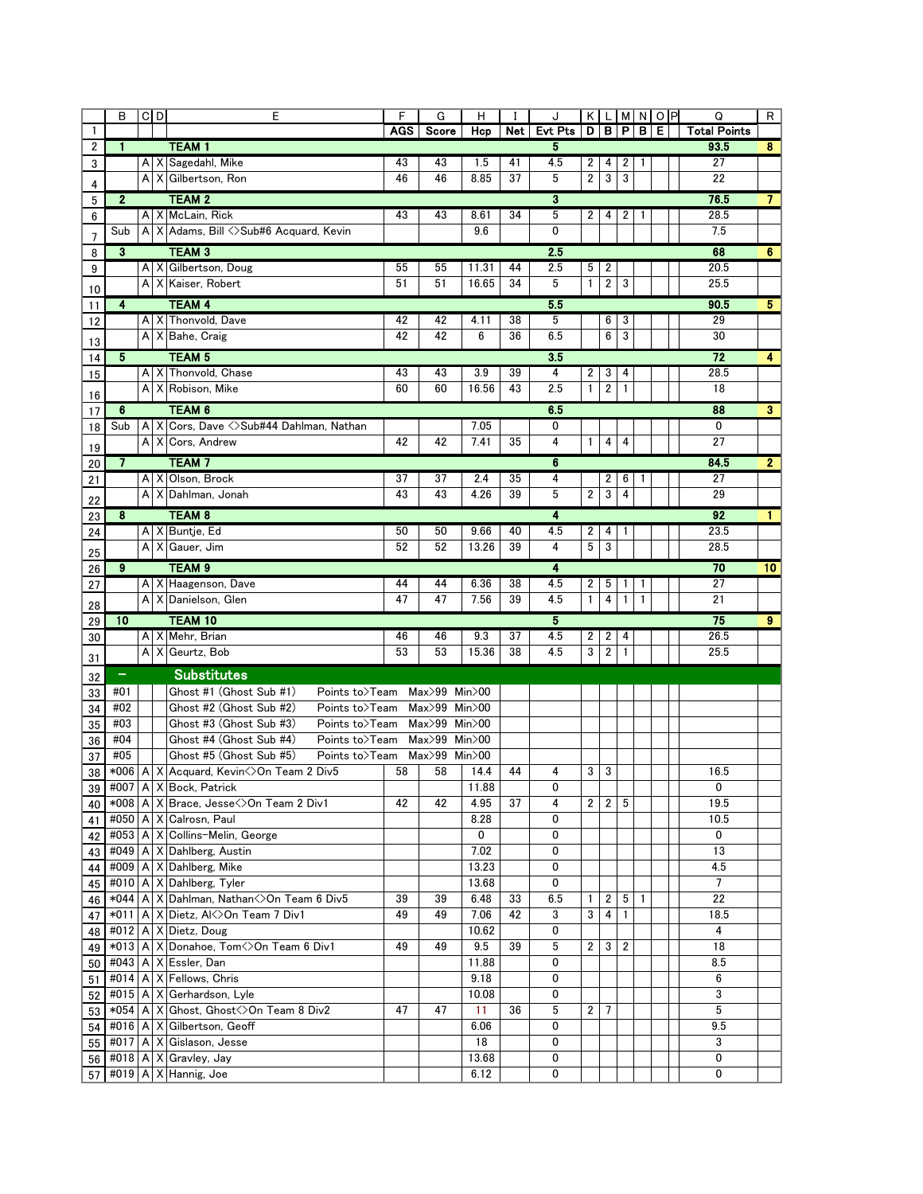|          | В            | $C$ <sub>D</sub>                                                                                                                   |   | E                                                         | F        | G                  | н             |          | J          |                |                         |              |              | KLMNOP | Q                   | R  |
|----------|--------------|------------------------------------------------------------------------------------------------------------------------------------|---|-----------------------------------------------------------|----------|--------------------|---------------|----------|------------|----------------|-------------------------|--------------|--------------|--------|---------------------|----|
| 1        | 1            |                                                                                                                                    |   |                                                           | AGS      | Score              | Hcp           | Net      | Evt Pts    | D              |                         | B P          | в            | Е      | <b>Total Points</b> |    |
| 2        |              |                                                                                                                                    |   | <b>TEAM1</b><br>A X Sagedahl, Mike                        | 43       | 43                 | 1.5           | 41       | 5<br>4.5   | 2              | 4                       | 2            | 1            |        | 93.5<br>27          | 8  |
| 3        |              | $\mathsf{A}$                                                                                                                       | Χ | Gilbertson, Ron                                           | 46       | 46                 | 8.85          | 37       | 5          | 2              | 3                       | 3            |              |        | 22                  |    |
| 4        |              |                                                                                                                                    |   | <b>TEAM 2</b>                                             |          |                    |               |          | 3          |                |                         |              |              |        | 76.5                |    |
| 5        | $\mathbf{2}$ |                                                                                                                                    |   | A   X   McLain, Rick                                      | 43       | 43                 | 8.61          | 34       | 5          | 2              | 4                       | 2            | 1            |        | 28.5                |    |
| 6        | Sub          |                                                                                                                                    |   | A   X   Adams, Bill <>Sub#6 Acquard, Kevin                |          |                    | 9.6           |          | 0          |                |                         |              |              |        | 7.5                 |    |
| 7        |              |                                                                                                                                    |   |                                                           |          |                    |               |          |            |                |                         |              |              |        |                     |    |
| 8        | 3            |                                                                                                                                    |   | <b>TEAM 3</b><br>A   X   Gilbertson, Doug                 | 55       | 55                 | 11.31         | 44       | 2.5<br>2.5 | 5              | 2                       |              |              |        | 68<br>20.5          | 6  |
| 9        |              |                                                                                                                                    |   | A   X   Kaiser, Robert                                    | 51       | 51                 | 16.65         | 34       | 5          | $\mathbf{1}$   | $\overline{\mathbf{c}}$ | 3            |              |        | 25.5                |    |
| 10       |              |                                                                                                                                    |   |                                                           |          |                    |               |          |            |                |                         |              |              |        |                     |    |
| 11       | 4            |                                                                                                                                    |   | <b>TEAM 4</b><br>A X Thonvold, Dave                       | 42       | 42                 | 4.11          | 38       | 5.5<br>5   |                | 6                       | 3            | 90.5<br>29   | 5      |                     |    |
| 12       |              |                                                                                                                                    |   | A   X   Bahe, Craig                                       | 42       | 42                 | 6             | 36       | 6.5        |                | 6                       | 3            |              |        | 30                  |    |
| 13       |              |                                                                                                                                    |   |                                                           |          |                    |               |          |            |                |                         |              |              |        |                     |    |
| 14       | 5            |                                                                                                                                    |   | <b>TEAM 5</b>                                             |          |                    |               |          | 3.5        |                |                         |              |              |        | 72                  | 4  |
| 15       |              |                                                                                                                                    |   | A X Thonvold, Chase<br>A X Robison, Mike                  | 43<br>60 | 43<br>60           | 3.9<br>16.56  | 39<br>43 | 4<br>2.5   | 2<br>1         | 3                       | 4<br>1       |              |        | 28.5<br>18          |    |
| 16       |              |                                                                                                                                    |   |                                                           |          |                    |               |          |            |                | 2                       |              |              |        |                     |    |
| 17       | 6            |                                                                                                                                    |   | TEAM 6                                                    |          |                    |               |          | 6.5        |                |                         |              |              |        | 88                  | 3  |
| 18       | Sub          |                                                                                                                                    |   | A X Cors, Dave <>Sub#44 Dahlman, Nathan                   |          |                    | 7.05          |          | 0          |                |                         |              |              |        | 0                   |    |
| 19       |              |                                                                                                                                    |   | A   X   Cors, Andrew                                      | 42       | 42                 | 7.41          | 35       | 4          | $\mathbf{1}$   | 4                       | 4            |              |        | 27                  |    |
| 20       | 7            |                                                                                                                                    |   | TEAM <sub>7</sub>                                         |          |                    |               |          | 6          |                |                         | 84.5         | 2            |        |                     |    |
| 21       |              |                                                                                                                                    |   | A X Olson, Brock                                          | 37       | 37                 | 2.4           | 35       | 4          |                | 2                       | 6            |              |        | 27                  |    |
| 22       |              | A١                                                                                                                                 |   | X Dahlman, Jonah                                          | 43       | 43                 | 4.26          | 39       | 5          | $\overline{2}$ | 3                       | 4            |              |        | 29                  |    |
| 23       | 8            |                                                                                                                                    |   | <b>TEAM 8</b>                                             |          |                    |               |          | 4          |                |                         |              |              |        | 92                  |    |
| 24       |              |                                                                                                                                    |   | A X Buntje, Ed                                            | 50       | 50                 | 9.66          | 40       | 4.5        | 2              | 4                       | 1            |              |        | 23.5                |    |
| 25       |              |                                                                                                                                    |   | A   X   Gauer, Jim                                        | 52       | 52                 | 13.26         | 39       | 4          | 5              | 3                       |              |              |        | 28.5                |    |
| 26       | 9            |                                                                                                                                    |   | <b>TEAM 9</b>                                             |          |                    |               |          | 4          |                |                         |              |              |        | 70                  | 10 |
| 27       |              |                                                                                                                                    |   | A   X   Haagenson, Dave                                   | 44       | 44                 | 6.36          | 38       | 4.5        | 2              | 5                       | 1            | 1            |        | 27                  |    |
| 28       |              |                                                                                                                                    |   | A   X   Danielson, Glen                                   | 47       | 47                 | 7.56          | 39       | 4.5        | 1              | 4                       | $\mathbf{1}$ | 1            |        | 21                  |    |
| 29       | 10           |                                                                                                                                    |   | TEAM 10                                                   |          |                    |               |          | 5          |                |                         |              |              |        | 75                  | 9  |
| 30       |              |                                                                                                                                    |   | A X Mehr, Brian                                           | 46       | 46                 | 9.3           | 37       | 4.5        | 2              | 2                       | 4            |              |        | 26.5                |    |
|          |              |                                                                                                                                    |   | A X Geurtz, Bob                                           | 53       | 53                 | 15.36         | 38       | 4.5        | 3              | 2                       | 1            |              |        | 25.5                |    |
| 31       | $\equiv$     |                                                                                                                                    |   | <b>Substitutes</b>                                        |          |                    |               |          |            |                |                         |              |              |        |                     |    |
| 32       |              |                                                                                                                                    |   |                                                           |          |                    |               |          |            |                |                         |              |              |        |                     |    |
| 33       | #02          | #01<br>Ghost #1 (Ghost Sub #1)<br>Points to>Team<br>Max>99<br>Min>00<br>Ghost #2 (Ghost Sub #2)<br>Max>99 Min>00<br>Points to>Team |   |                                                           |          |                    |               |          |            |                |                         |              |              |        |                     |    |
| 34<br>35 | #03          | Ghost #3 (Ghost Sub #3)<br>$Max>99$ Min $>00$                                                                                      |   |                                                           |          |                    |               |          |            |                |                         |              |              |        |                     |    |
| 36       | #04          | Points to>Team<br>Ghost #4 (Ghost Sub #4)<br>$Max>99$ Min $>00$<br>Points to>Team                                                  |   |                                                           |          |                    |               |          |            |                |                         |              |              |        |                     |    |
| 37       | #05          |                                                                                                                                    |   | Ghost #5 (Ghost Sub #5)<br>Points to>Team                 |          | $Max>99$ Min $>00$ |               |          |            |                |                         |              |              |        |                     |    |
| 38       |              |                                                                                                                                    |   | *006   A   X   Acquard, Kevinく>On Team 2 Div5             | 58       | 58                 | 14.4          | 44       | 4          | 3              | 3                       |              |              |        | 16.5                |    |
|          |              |                                                                                                                                    |   | 39   #007   A   X   Bock, Patrick                         |          |                    | 11.88         |          | 0          |                |                         |              |              |        | 0                   |    |
| 40       |              |                                                                                                                                    |   | *008   A   X   Brace, Jesse < > On Team 2 Div1            | 42       | 42                 | 4.95          | 37       | 4          | $\mathbf{2}$   | $\overline{2}$          | 5            |              |        | 19.5                |    |
|          |              |                                                                                                                                    |   | 41 #050 A X Calrosn, Paul                                 |          |                    | 8.28          |          | 0          |                |                         |              |              |        | 10.5                |    |
|          |              |                                                                                                                                    |   | 42 #053   A   X   Collins-Melin, George                   |          |                    | 0             |          | 0          |                |                         |              |              |        | 0                   |    |
| 43       |              |                                                                                                                                    |   | #049   A   X   Dahlberg, Austin                           |          |                    | 7.02          |          | 0          |                |                         |              |              |        | 13                  |    |
| 44       |              |                                                                                                                                    |   | #009   A   X   Dahlberg, Mike                             |          |                    | 13.23         |          | 0          |                |                         |              |              |        | 4.5                 |    |
|          |              |                                                                                                                                    |   | 45 #010 A X Dahlberg, Tyler                               |          |                    | 13.68         |          | 0          |                |                         |              |              |        | $\overline{7}$      |    |
| 46       |              |                                                                                                                                    |   | *044   A   X   Dahlman, Nathan < > On Team 6 Div 5        | 39       | 39                 | 6.48          | 33       | 6.5        | $\mathbf{1}$   | $\overline{2}$          | 5            | $\mathbf{1}$ |        | 22                  |    |
| 47       |              |                                                                                                                                    |   | *011   A   X   Dietz, Al<>On Team 7 Div1                  | 49       | 49                 | 7.06          | 42       | 3          | 3              | 4                       | 1            |              |        | 18.5                |    |
|          |              |                                                                                                                                    |   | 48 #012   A   X   Dietz, Doug                             |          |                    | 10.62         |          | 0          |                |                         |              |              |        | 4                   |    |
| 49       |              |                                                                                                                                    |   | *013   A   X   Donahoe, Tom<>On Team 6 Div1               | 49       | 49                 | 9.5           | 39       | 5          | 2              | 3                       | 2            |              |        | 18                  |    |
|          |              |                                                                                                                                    |   | 50 #043 A X Essler, Dan                                   |          |                    | 11.88         |          | 0          |                |                         |              |              |        | 8.5                 |    |
| 51       |              |                                                                                                                                    |   | #014   A   X   Fellows, Chris                             |          |                    | 9.18          |          | 0          |                |                         |              |              |        | 6                   |    |
| 52       |              |                                                                                                                                    |   | #015   A   X   Gerhardson, Lyle                           |          |                    | 10.08         |          | 0          |                |                         |              |              |        | 3                   |    |
| 53       |              |                                                                                                                                    |   | *054   A   X   Ghost, Ghost < >><>>> 2010 Team<br>80 Div2 | 47       | 47                 | 11            | 36       | 5          | $\mathbf{2}$   | 7                       |              |              |        | 5                   |    |
| 54       |              |                                                                                                                                    |   | #016   A   X   Gilbertson, Geoff                          |          |                    | 6.06          |          | 0          |                |                         |              |              |        | 9.5                 |    |
|          |              |                                                                                                                                    |   | 55 #017 A X Gislason, Jesse                               |          |                    | 18            |          | 0          |                |                         |              |              |        | 3                   |    |
|          |              |                                                                                                                                    |   |                                                           |          |                    |               |          |            |                |                         |              |              |        |                     |    |
|          |              |                                                                                                                                    |   | 56 #018   A   X   Gravley, Jay<br>57 #019 A X Hannig, Joe |          |                    | 13.68<br>6.12 |          | 0<br>0     |                |                         |              |              |        | 0<br>0              |    |